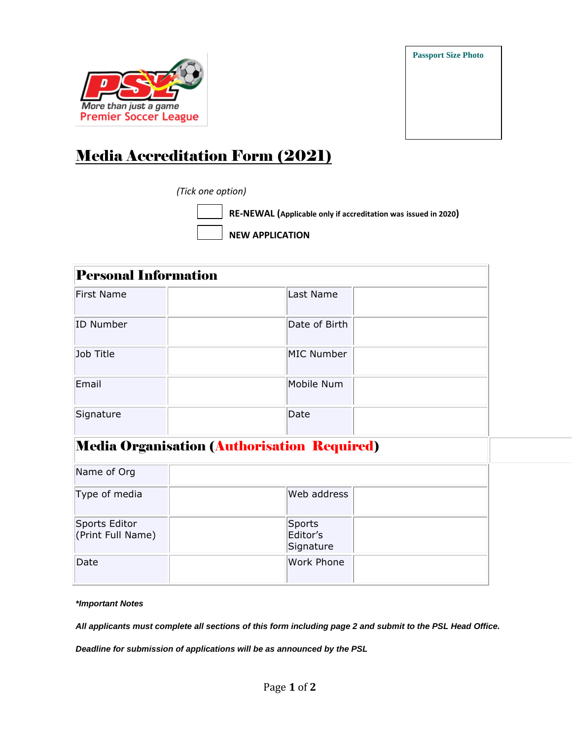



## Media Accreditation Form (2021)

## *(Tick one option)*

 **NEW APPLICATION** 

 **RE-NEWAL (Applicable only if accreditation was issued in 2020)**

| <b>Personal Information</b>                 |               |  |  |
|---------------------------------------------|---------------|--|--|
| First Name                                  | Last Name     |  |  |
| ID Number                                   | Date of Birth |  |  |
| Job Title                                   | MIC Number    |  |  |
| Email                                       | Mobile Num    |  |  |
| Signature                                   | Date          |  |  |
| Media Organisation (Authorisation Required) |               |  |  |

| Name of Org                        |                                 |  |
|------------------------------------|---------------------------------|--|
| Type of media                      | Web address                     |  |
| Sports Editor<br>(Print Full Name) | Sports<br>Editor's<br>Signature |  |
| Date                               | <b>Work Phone</b>               |  |

*\*Important Notes*

*All applicants must complete all sections of this form including page 2 and submit to the PSL Head Office.*

*Deadline for submission of applications will be as announced by the PSL*